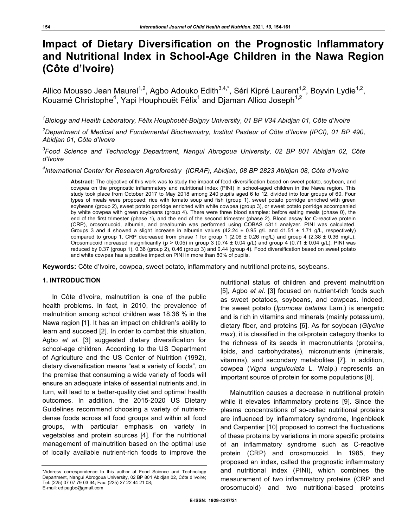# **Impact of Dietary Diversification on the Prognostic Inflammatory and Nutritional Index in School-Age Children in the Nawa Region (Côte d'Ivoire)**

Allico Mousso Jean Maurel<sup>1,2</sup>, Agbo Adouko Edith<sup>3,4,\*</sup>, Séri Kipré Laurent<sup>1,2</sup>, Boyvin Lydie<sup>1,2</sup>, Kouamé Christophe<sup>4</sup>, Yapi Houphouët Félix<sup>1</sup> and Djaman Allico Joseph<sup>1,2</sup>

*1 Biology and Health Laboratory, Félix Houphouët-Boigny University, 01 BP V34 Abidjan 01, Côte d'Ivoire*

*2 Department of Medical and Fundamental Biochemistry, Institut Pasteur of Côte d'Ivoire (IPCI), 01 BP 490, Abidjan 01, Côte d'Ivoire*

*3 Food Science and Technology Department, Nangui Abrogoua University, 02 BP 801 Abidjan 02, Côte d'Ivoire*

*4 International Center for Research Agroforestry (ICRAF), Abidjan, 08 BP 2823 Abidjan 08, Côte d'Ivoire*

**Abstract:** The objective of this work was to study the impact of food diversification based on sweet potato, soybean, and cowpea on the prognostic inflammatory and nutritional index (PINI) in school-aged children in the Nawa region. This study took place from October 2017 to May 2018 among 240 pupils aged 6 to 12, divided into four groups of 60. Four types of meals were proposed: rice with tomato soup and fish (group 1), sweet potato porridge enriched with green soybeans (group 2), sweet potato porridge enriched with white cowpea (group 3), or sweet potato porridge accompanied by white cowpea with green soybeans (group 4). There were three blood samples: before eating meals (phase 0), the end of the first trimester (phase 1), and the end of the second trimester (phase 2). Blood assay for C-reactive protein (CRP), orosomucoid, albumin, and prealbumin was performed using COBAS c311 analyzer. PINI was calculated. Groups 3 and 4 showed a slight increase in albumin values  $(42.24 \pm 0.95$  g/L and  $41.51 \pm 1.71$  g/L, respectively) compared to group 1. CRP decreased from phase 1 for group 1 (2.06  $\pm$  0.26 mg/L) and group 4 (2.38  $\pm$  0.36 mg/L). Orosomucoid increased insignificantly (p > 0.05) in group 3 (0.74  $\pm$  0.04 g/L) and group 4 (0.71  $\pm$  0.04 g/L). PINI was reduced by 0.37 (group 1), 0.36 (group 2), 0.46 (group 3) and 0.44 (group 4). Food diversification based on sweet potato and white cowpea has a positive impact on PINI in more than 80% of pupils.

**Keywords:** Côte d'Ivoire, cowpea, sweet potato, inflammatory and nutritional proteins, soybeans.

## **1. INTRODUCTION**

In Côte d'Ivoire, malnutrition is one of the public health problems. In fact, in 2010, the prevalence of malnutrition among school children was 18.36 % in the Nawa region [1]. It has an impact on children's ability to learn and succeed [2]. In order to combat this situation, Agbo *et al*. [3] suggested dietary diversification for school-age children. According to the US Department of Agriculture and the US Center of Nutrition (1992), dietary diversification means "eat a variety of foods", on the premise that consuming a wide variety of foods will ensure an adequate intake of essential nutrients and, in turn, will lead to a better-quality diet and optimal health outcomes. In addition, the 2015-2020 US Dietary Guidelines recommend choosing a variety of nutrientdense foods across all food groups and within all food groups, with particular emphasis on variety in vegetables and protein sources [4]. For the nutritional management of malnutrition based on the optimal use of locally available nutrient-rich foods to improve the

nutritional status of children and prevent malnutrition [5], Agbo *et al*. [3] focused on nutrient-rich foods such as sweet potatoes, soybeans, and cowpeas. Indeed, the sweet potato (*Ipomoea batatas* Lam.) is energetic and is rich in vitamins and minerals (mainly potassium), dietary fiber, and proteins [6]. As for soybean (*Glycine max*), it is classified in the oil-protein category thanks to the richness of its seeds in macronutrients (proteins, lipids, and carbohydrates), micronutrients (minerals, vitamins), and secondary metabolites [7]. In addition, cowpea (*Vigna unguiculata* L. Walp.) represents an important source of protein for some populations [8].

Malnutrition causes a decrease in nutritional protein while it elevates inflammatory proteins [9]. Since the plasma concentrations of so-called nutritional proteins are influenced by inflammatory syndrome, Ingenbleek and Carpentier [10] proposed to correct the fluctuations of these proteins by variations in more specific proteins of an inflammatory syndrome such as C-reactive protein (CRP) and orosomucoid. In 1985, they proposed an index, called the prognostic inflammatory and nutritional index (PINI), which combines the measurement of two inflammatory proteins (CRP and orosomucoid) and two nutritional-based proteins

<sup>\*</sup>Address correspondence to this author at Food Science and Technology Department, Nangui Abrogoua University, 02 BP 801 Abidjan 02, Côte d'Ivoire; Tel: (225) 07 07 79 03 64; Fax: (225) 27 22 44 21 08; E-mail: edipagbo@gmail.com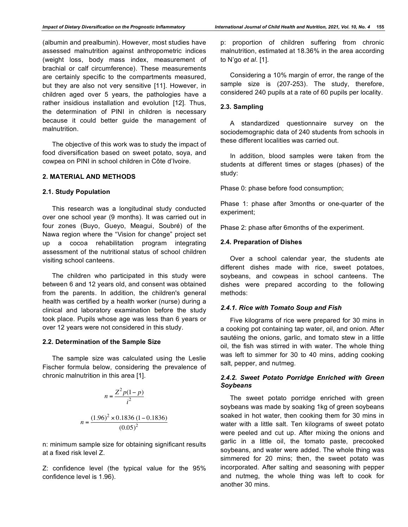(albumin and prealbumin). However, most studies have assessed malnutrition against anthropometric indices (weight loss, body mass index, measurement of brachial or calf circumference). These measurements are certainly specific to the compartments measured, but they are also not very sensitive [11]. However, in children aged over 5 years, the pathologies have a rather insidious installation and evolution [12]. Thus, the determination of PINI in children is necessary because it could better guide the management of malnutrition.

The objective of this work was to study the impact of food diversification based on sweet potato, soya, and cowpea on PINI in school children in Côte d'Ivoire.

# **2. MATERIAL AND METHODS**

## **2.1. Study Population**

This research was a longitudinal study conducted over one school year (9 months). It was carried out in four zones (Buyo, Gueyo, Meagui, Soubré) of the Nawa region where the "Vision for change" project set up a cocoa rehabilitation program integrating assessment of the nutritional status of school children visiting school canteens.

The children who participated in this study were between 6 and 12 years old, and consent was obtained from the parents. In addition, the children's general health was certified by a health worker (nurse) during a clinical and laboratory examination before the study took place. Pupils whose age was less than 6 years or over 12 years were not considered in this study.

## **2.2. Determination of the Sample Size**

The sample size was calculated using the Leslie Fischer formula below, considering the prevalence of chronic malnutrition in this area [1].

$$
n = \frac{Z^2 p(1-p)}{i^2}
$$

$$
n = \frac{(1.96)^2 \times 0.1836 (1-0.1836)}{(0.05)^2}
$$

n: minimum sample size for obtaining significant results at a fixed risk level Z.

Z: confidence level (the typical value for the 95% confidence level is 1.96).

p: proportion of children suffering from chronic malnutrition, estimated at 18.36% in the area according to N'go *et al*. [1].

Considering a 10% margin of error, the range of the sample size is (207-253). The study, therefore, considered 240 pupils at a rate of 60 pupils per locality.

## **2.3. Sampling**

A standardized questionnaire survey on the sociodemographic data of 240 students from schools in these different localities was carried out.

In addition, blood samples were taken from the students at different times or stages (phases) of the study:

Phase 0: phase before food consumption;

Phase 1: phase after 3months or one-quarter of the experiment;

Phase 2: phase after 6months of the experiment.

#### **2.4. Preparation of Dishes**

Over a school calendar year, the students ate different dishes made with rice, sweet potatoes, soybeans, and cowpeas in school canteens. The dishes were prepared according to the following methods:

## *2.4.1. Rice with Tomato Soup and Fish*

Five kilograms of rice were prepared for 30 mins in a cooking pot containing tap water, oil, and onion. After sautéing the onions, garlic, and tomato stew in a little oil, the fish was stirred in with water. The whole thing was left to simmer for 30 to 40 mins, adding cooking salt, pepper, and nutmeg.

# *2.4.2. Sweet Potato Porridge Enriched with Green Soybeans*

The sweet potato porridge enriched with green soybeans was made by soaking 1kg of green soybeans soaked in hot water, then cooking them for 30 mins in water with a little salt. Ten kilograms of sweet potato were peeled and cut up. After mixing the onions and garlic in a little oil, the tomato paste, precooked soybeans, and water were added. The whole thing was simmered for 20 mins; then, the sweet potato was incorporated. After salting and seasoning with pepper and nutmeg, the whole thing was left to cook for another 30 mins.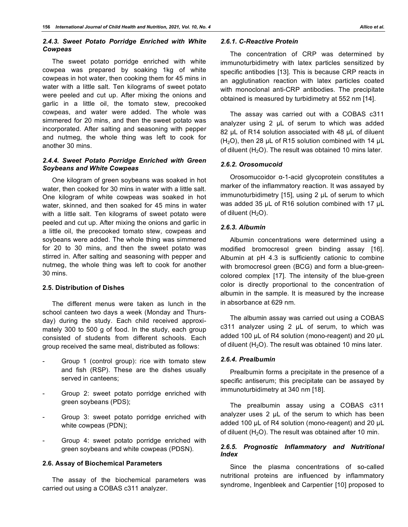# *2.4.3. Sweet Potato Porridge Enriched with White Cowpeas*

The sweet potato porridge enriched with white cowpea was prepared by soaking 1kg of white cowpeas in hot water, then cooking them for 45 mins in water with a little salt. Ten kilograms of sweet potato were peeled and cut up. After mixing the onions and garlic in a little oil, the tomato stew, precooked cowpeas, and water were added. The whole was simmered for 20 mins, and then the sweet potato was incorporated. After salting and seasoning with pepper and nutmeg, the whole thing was left to cook for another 30 mins.

# *2.4.4. Sweet Potato Porridge Enriched with Green Soybeans and White Cowpeas*

One kilogram of green soybeans was soaked in hot water, then cooked for 30 mins in water with a little salt. One kilogram of white cowpeas was soaked in hot water, skinned, and then soaked for 45 mins in water with a little salt. Ten kilograms of sweet potato were peeled and cut up. After mixing the onions and garlic in a little oil, the precooked tomato stew, cowpeas and soybeans were added. The whole thing was simmered for 20 to 30 mins, and then the sweet potato was stirred in. After salting and seasoning with pepper and nutmeg, the whole thing was left to cook for another 30 mins.

## **2.5. Distribution of Dishes**

The different menus were taken as lunch in the school canteen two days a week (Monday and Thursday) during the study. Each child received approximately 300 to 500 g of food. In the study, each group consisted of students from different schools. Each group received the same meal, distributed as follows:

- Group 1 (control group): rice with tomato stew and fish (RSP). These are the dishes usually served in canteens;
- Group 2: sweet potato porridge enriched with green soybeans (PDS);
- Group 3: sweet potato porridge enriched with white cowpeas (PDN);
- Group 4: sweet potato porridge enriched with green soybeans and white cowpeas (PDSN).

## **2.6. Assay of Biochemical Parameters**

The assay of the biochemical parameters was carried out using a COBAS c311 analyzer.

# *2.6.1. C-Reactive Protein*

The concentration of CRP was determined by immunoturbidimetry with latex particles sensitized by specific antibodies [13]. This is because CRP reacts in an agglutination reaction with latex particles coated with monoclonal anti-CRP antibodies. The precipitate obtained is measured by turbidimetry at 552 nm [14].

The assay was carried out with a COBAS c311 analyzer using 2 µL of serum to which was added 82 µL of R14 solution associated with 48 µL of diluent  $(H<sub>2</sub>O)$ , then 28 µL of R15 solution combined with 14 µL of diluent ( $H<sub>2</sub>O$ ). The result was obtained 10 mins later.

# *2.6.2. Orosomucoid*

Orosomucoidor α-1-acid glycoprotein constitutes a marker of the inflammatory reaction. It was assayed by immunoturbidimetry [15], using 2 µL of serum to which was added 35 µL of R16 solution combined with 17 µL of diluent  $(H<sub>2</sub>O)$ .

# *2.6.3. Albumin*

Albumin concentrations were determined using a modified bromocresol green binding assay [16]. Albumin at pH 4.3 is sufficiently cationic to combine with bromocresol green (BCG) and form a blue-greencolored complex [17]. The intensity of the blue-green color is directly proportional to the concentration of albumin in the sample. It is measured by the increase in absorbance at 629 nm.

The albumin assay was carried out using a COBAS c311 analyzer using 2 µL of serum, to which was added 100 µL of R4 solution (mono-reagent) and 20 µL of diluent  $(H<sub>2</sub>O)$ . The result was obtained 10 mins later.

# *2.6.4. Prealbumin*

Prealbumin forms a precipitate in the presence of a specific antiserum; this precipitate can be assayed by immunoturbidimetry at 340 nm [18].

The prealbumin assay using a COBAS c311 analyzer uses 2 µL of the serum to which has been added 100 µL of R4 solution (mono-reagent) and 20 µL of diluent  $(H<sub>2</sub>O)$ . The result was obtained after 10 min.

# *2.6.5. Prognostic Inflammatory and Nutritional Index*

Since the plasma concentrations of so-called nutritional proteins are influenced by inflammatory syndrome, Ingenbleek and Carpentier [10] proposed to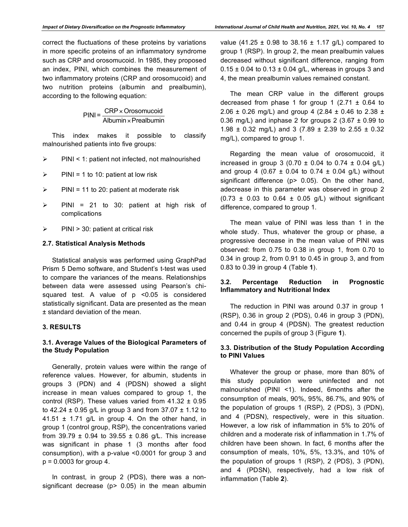correct the fluctuations of these proteins by variations in more specific proteins of an inflammatory syndrome such as CRP and orosomucoid. In 1985, they proposed an index, PINI, which combines the measurement of two inflammatory proteins (CRP and orosomucoid) and two nutrition proteins (albumin and prealbumin), according to the following equation:

> $PINI = \frac{CRP \times Orosomucoid}{PPI}$ Albumin × Prealbumin

This index makes it possible to classify malnourished patients into five groups:

- $\triangleright$  PINI < 1: patient not infected, not malnourished
- $\triangleright$  PINI = 1 to 10: patient at low risk
- $\triangleright$  PINI = 11 to 20: patient at moderate risk
- $\triangleright$  PINI = 21 to 30: patient at high risk of complications
- $\triangleright$  PINI > 30: patient at critical risk

#### **2.7. Statistical Analysis Methods**

Statistical analysis was performed using GraphPad Prism 5 Demo software, and Student's t-test was used to compare the variances of the means. Relationships between data were assessed using Pearson's chisquared test. A value of p <0.05 is considered statistically significant. Data are presented as the mean ± standard deviation of the mean.

## **3. RESULTS**

# **3.1. Average Values of the Biological Parameters of the Study Population**

Generally, protein values were within the range of reference values. However, for albumin, students in groups 3 (PDN) and 4 (PDSN) showed a slight increase in mean values compared to group 1, the control (RSP). These values varied from  $41.32 \pm 0.95$ to 42.24  $\pm$  0.95 g/L in group 3 and from 37.07  $\pm$  1.12 to 41.51  $\pm$  1.71 g/L in group 4. On the other hand, in group 1 (control group, RSP), the concentrations varied from 39.79  $\pm$  0.94 to 39.55  $\pm$  0.86 g/L. This increase was significant in phase 1 (3 months after food consumption), with a p-value <0.0001 for group 3 and  $p = 0.0003$  for group 4.

In contrast, in group 2 (PDS), there was a nonsignificant decrease ( $p$   $>$  0.05) in the mean albumin value (41.25  $\pm$  0.98 to 38.16  $\pm$  1.17 g/L) compared to group 1 (RSP). In group 2, the mean prealbumin values decreased without significant difference, ranging from  $0.15 \pm 0.04$  to  $0.13 \pm 0.04$  g/L, whereas in groups 3 and 4, the mean prealbumin values remained constant.

The mean CRP value in the different groups decreased from phase 1 for group 1 (2.71  $\pm$  0.64 to 2.06  $\pm$  0.26 mg/L) and group 4 (2.84  $\pm$  0.46 to 2.38  $\pm$ 0.36 mg/L) and inphase 2 for groups 2 (3.67  $\pm$  0.99 to 1.98  $\pm$  0.32 mg/L) and 3 (7.89  $\pm$  2.39 to 2.55  $\pm$  0.32 mg/L), compared to group 1.

Regarding the mean value of orosomucoid, it increased in group 3 (0.70  $\pm$  0.04 to 0.74  $\pm$  0.04 g/L) and group 4 (0.67  $\pm$  0.04 to 0.74  $\pm$  0.04 g/L) without significant difference (p> 0.05). On the other hand, adecrease in this parameter was observed in group 2  $(0.73 \pm 0.03$  to  $0.64 \pm 0.05$  g/L) without significant difference, compared to group 1.

The mean value of PINI was less than 1 in the whole study. Thus, whatever the group or phase, a progressive decrease in the mean value of PINI was observed: from 0.75 to 0.38 in group 1, from 0.70 to 0.34 in group 2, from 0.91 to 0.45 in group 3, and from 0.83 to 0.39 in group 4 (Table **1**).

# **3.2. Percentage Reduction in Prognostic Inflammatory and Nutritional Index**

The reduction in PINI was around 0.37 in group 1 (RSP), 0.36 in group 2 (PDS), 0.46 in group 3 (PDN), and 0.44 in group 4 (PDSN). The greatest reduction concerned the pupils of group 3 (Figure **1**).

# **3.3. Distribution of the Study Population According to PINI Values**

Whatever the group or phase, more than 80% of this study population were uninfected and not malnourished (PINI <1). Indeed, 6months after the consumption of meals, 90%, 95%, 86.7%, and 90% of the population of groups 1 (RSP), 2 (PDS), 3 (PDN), and 4 (PDSN), respectively, were in this situation. However, a low risk of inflammation in 5% to 20% of children and a moderate risk of inflammation in 1.7% of children have been shown. In fact, 6 months after the consumption of meals, 10%, 5%, 13.3%, and 10% of the population of groups 1 (RSP), 2 (PDS), 3 (PDN), and 4 (PDSN), respectively, had a low risk of inflammation (Table **2**).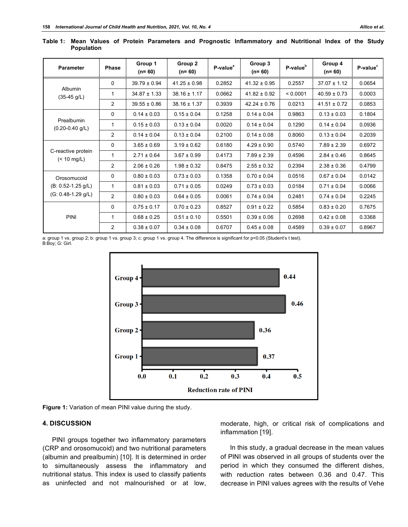| <b>Parameter</b>                                              | <b>Phase</b>   | Group 1<br>$(n=60)$ | Group 2<br>$(n=60)$ | P-value <sup>a</sup> | Group 3<br>$(n=60)$ | P-value <sup>b</sup> | Group 4<br>$(n=60)$ | P-value <sup>c</sup> |
|---------------------------------------------------------------|----------------|---------------------|---------------------|----------------------|---------------------|----------------------|---------------------|----------------------|
| <b>Albumin</b><br>$(35-45 g/L)$                               | 0              | $39.79 \pm 0.94$    | $41.25 \pm 0.98$    | 0.2852               | $41.32 \pm 0.95$    | 0.2557               | $37.07 \pm 1.12$    | 0.0654               |
|                                                               | 1              | $34.87 \pm 1.33$    | $38.16 \pm 1.17$    | 0.0662               | $41.82 \pm 0.92$    | < 0.0001             | $40.59 \pm 0.73$    | 0.0003               |
|                                                               | $\overline{2}$ | $39.55 \pm 0.86$    | $38.16 \pm 1.37$    | 0.3939               | $42.24 \pm 0.76$    | 0.0213               | $41.51 \pm 0.72$    | 0.0853               |
| Prealbumin<br>$(0.20 - 0.40$ g/L)                             | $\mathbf 0$    | $0.14 \pm 0.03$     | $0.15 \pm 0.04$     | 0.1258               | $0.14 \pm 0.04$     | 0.9863               | $0.13 \pm 0.03$     | 0.1804               |
|                                                               | 1              | $0.15 \pm 0.03$     | $0.13 \pm 0.04$     | 0.0020               | $0.14 \pm 0.04$     | 0.1290               | $0.14 \pm 0.04$     | 0.0936               |
|                                                               | $\overline{2}$ | $0.14 \pm 0.04$     | $0.13 \pm 0.04$     | 0.2100               | $0.14 \pm 0.08$     | 0.8060               | $0.13 \pm 0.04$     | 0.2039               |
| C-reactive protein<br>$($ < 10 mg/L)                          | $\mathbf 0$    | $3.65 \pm 0.69$     | $3.19 \pm 0.62$     | 0.6180               | $4.29 \pm 0.90$     | 0.5740               | $7.89 \pm 2.39$     | 0.6972               |
|                                                               | 1              | $2.71 \pm 0.64$     | $3.67 \pm 0.99$     | 0.4173               | $7.89 \pm 2.39$     | 0.4596               | $2.84 \pm 0.46$     | 0.8645               |
|                                                               | $\overline{2}$ | $2.06 \pm 0.26$     | $1.98 \pm 0.32$     | 0.8475               | $2.55 \pm 0.32$     | 0.2394               | $2.38 \pm 0.36$     | 0.4799               |
| Orosomucoid<br>$(B: 0.52 - 1.25 g/L)$<br>$(G: 0.48-1.29 g/L)$ | 0              | $0.80 \pm 0.03$     | $0.73 \pm 0.03$     | 0.1358               | $0.70 \pm 0.04$     | 0.0516               | $0.67 \pm 0.04$     | 0.0142               |
|                                                               | 1              | $0.81 \pm 0.03$     | $0.71 \pm 0.05$     | 0.0249               | $0.73 \pm 0.03$     | 0.0184               | $0.71 \pm 0.04$     | 0.0066               |
|                                                               | $\overline{2}$ | $0.80 \pm 0.03$     | $0.64 \pm 0.05$     | 0.0061               | $0.74 \pm 0.04$     | 0.2481               | $0.74 \pm 0.04$     | 0.2245               |
| PINI                                                          | $\mathbf 0$    | $0.75 \pm 0.17$     | $0.70 \pm 0.23$     | 0.8527               | $0.91 \pm 0.22$     | 0.5854               | $0.83 \pm 0.20$     | 0.7675               |
|                                                               | 1              | $0.68 \pm 0.25$     | $0.51 \pm 0.10$     | 0.5501               | $0.39 \pm 0.06$     | 0.2698               | $0.42 \pm 0.08$     | 0.3368               |
|                                                               | $\overline{2}$ | $0.38 \pm 0.07$     | $0.34 \pm 0.08$     | 0.6707               | $0.45 \pm 0.08$     | 0.4589               | $0.39 \pm 0.07$     | 0.8967               |

**Table 1: Mean Values of Protein Parameters and Prognostic Inflammatory and Nutritional Index of the Study Population**

a: group 1 vs. group 2; b: group 1 vs. group 3; c: group 1 vs. group 4. The difference is significant for p<0.05 (Student's t test). B:Boy; G: Girl.



**Figure 1:** Variation of mean PINI value during the study.

## **4. DISCUSSION**

PINI groups together two inflammatory parameters (CRP and orosomucoid) and two nutritional parameters (albumin and prealbumin) [10]. It is determined in order to simultaneously assess the inflammatory and nutritional status. This index is used to classify patients as uninfected and not malnourished or at low, moderate, high, or critical risk of complications and inflammation [19].

In this study, a gradual decrease in the mean values of PINI was observed in all groups of students over the period in which they consumed the different dishes, with reduction rates between 0.36 and 0.47. This decrease in PINI values agrees with the results of Vehe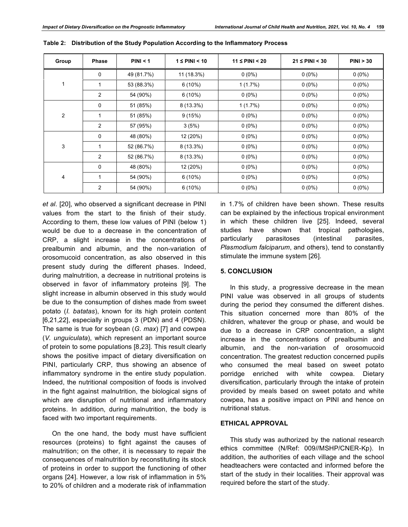| Group | <b>Phase</b>   | PINI < 1   | $1 \leq$ PINI < 10 | $11 \leq$ PINI < 20 | $21 \leq$ PINI < 30 | PINI > 30 |
|-------|----------------|------------|--------------------|---------------------|---------------------|-----------|
| 1     | 0              | 49 (81.7%) | 11 (18.3%)         | $0(0\%)$            | $0(0\%)$            | $0(0\%)$  |
|       | 1              | 53 (88.3%) | $6(10\%)$          | $1(1.7\%)$          | $0(0\%)$            | $0(0\%)$  |
|       | $\overline{2}$ | 54 (90%)   | $6(10\%)$          | $0(0\%)$            | $0(0\%)$            | $0(0\%)$  |
| 2     | 0              | 51 (85%)   | $8(13.3\%)$        | $1(1.7\%)$          | $0(0\%)$            | $0(0\%)$  |
|       | 1              | 51 (85%)   | 9(15%)             | $0(0\%)$            | $0(0\%)$            | $0(0\%)$  |
|       | $\overline{2}$ | 57 (95%)   | 3(5%)              | $0(0\%)$            | $0(0\%)$            | $0(0\%)$  |
| 3     | $\mathbf 0$    | 48 (80%)   | 12 (20%)           | $0(0\%)$            | $0(0\%)$            | $0(0\%)$  |
|       | 1              | 52 (86.7%) | $8(13.3\%)$        | $0(0\%)$            | $0(0\%)$            | $0(0\%)$  |
|       | $\overline{2}$ | 52 (86.7%) | $8(13.3\%)$        | $0(0\%)$            | $0(0\%)$            | $0(0\%)$  |
| 4     | 0              | 48 (80%)   | 12 (20%)           | $0(0\%)$            | $0(0\%)$            | $0(0\%)$  |
|       | 1              | 54 (90%)   | $6(10\%)$          | $0(0\%)$            | $0(0\%)$            | $0(0\%)$  |
|       | $\overline{2}$ | 54 (90%)   | 6(10%)             | $0(0\%)$            | $0(0\%)$            | $0(0\%)$  |

**Table 2: Distribution of the Study Population According to the Inflammatory Process**

*et al*. [20], who observed a significant decrease in PINI values from the start to the finish of their study. According to them, these low values of PINI (below 1) would be due to a decrease in the concentration of CRP, a slight increase in the concentrations of prealbumin and albumin, and the non-variation of orosomucoid concentration, as also observed in this present study during the different phases. Indeed, during malnutrition, a decrease in nutritional proteins is observed in favor of inflammatory proteins [9]. The slight increase in albumin observed in this study would be due to the consumption of dishes made from sweet potato (*I. batatas*), known for its high protein content [6,21,22], especially in groups 3 (PDN) and 4 (PDSN). The same is true for soybean (*G. max*) [7] and cowpea (*V. unguiculata*), which represent an important source of protein to some populations [8,23]. This result clearly shows the positive impact of dietary diversification on PINI, particularly CRP, thus showing an absence of inflammatory syndrome in the entire study population. Indeed, the nutritional composition of foods is involved in the fight against malnutrition, the biological signs of which are disruption of nutritional and inflammatory proteins. In addition, during malnutrition, the body is faced with two important requirements.

On the one hand, the body must have sufficient resources (proteins) to fight against the causes of malnutrition; on the other, it is necessary to repair the consequences of malnutrition by reconstituting its stock of proteins in order to support the functioning of other organs [24]. However, a low risk of inflammation in 5% to 20% of children and a moderate risk of inflammation

in 1.7% of children have been shown. These results can be explained by the infectious tropical environment in which these children live [25]. Indeed, several studies have shown that tropical pathologies, particularly parasitoses (intestinal parasites, *Plasmodium falciparum*, and others), tend to constantly stimulate the immune system [26].

# **5. CONCLUSION**

In this study, a progressive decrease in the mean PINI value was observed in all groups of students during the period they consumed the different dishes. This situation concerned more than 80% of the children, whatever the group or phase, and would be due to a decrease in CRP concentration, a slight increase in the concentrations of prealbumin and albumin, and the non-variation of orosomucoid concentration. The greatest reduction concerned pupils who consumed the meal based on sweet potato porridge enriched with white cowpea. Dietary diversification, particularly through the intake of protein provided by meals based on sweet potato and white cowpea, has a positive impact on PINI and hence on nutritional status.

## **ETHICAL APPROVAL**

This study was authorized by the national research ethics committee (N/Ref: 009//MSHP/CNER-Kp). In addition, the authorities of each village and the school headteachers were contacted and informed before the start of the study in their localities. Their approval was required before the start of the study.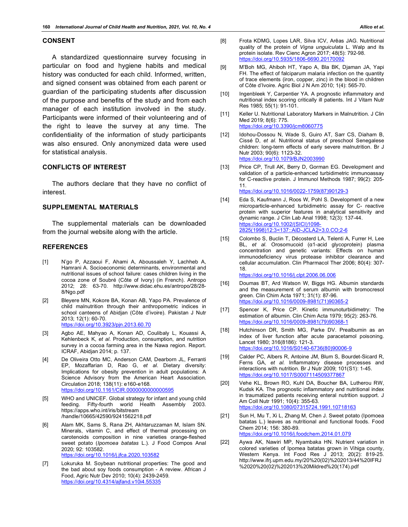#### **CONSENT**

A standardized questionnaire survey focusing in particular on food and hygiene habits and medical history was conducted for each child. Informed, written, and signed consent was obtained from each parent or guardian of the participating students after discussion of the purpose and benefits of the study and from each manager of each institution involved in the study. Participants were informed of their volunteering and of the right to leave the survey at any time. The confidentiality of the information of study participants was also ensured. Only anonymized data were used for statistical analysis.

## **CONFLICTS OF INTEREST**

The authors declare that they have no conflict of interest.

#### **SUPPLEMENTAL MATERIALS**

The supplemental materials can be downloaded from the journal website along with the article.

#### **REFERENCES**

- [1] N'go P, Azzaoui F, Ahami A, Aboussaleh Y, Lachheb A, Hamrani A. Socioeconomic determinants, environmental and nutritional issues of school failure: cases children living in the cocoa zone of Soubré (Côte of Ivory) (in French). Antropo 2012; 28: 63-70. http://www.didac.ehu.es/antropo/28/28- 8/Ngo.pdf
- [2] Bleyere MN, Kokore BA, Konan AB, Yapo PA. Prevalence of child malnutrition through their anthropometric indices in school canteens of Abidjan (Côte d'ivoire). Pakistan J Nutr 2013; 12(1): 60-70. https://doi.org/10.3923/pjn.2013.60.70
- [3] Agbo AE, Mahyao A, Konan AD, Coulibaly L, Kouassi A, Kehlenbeck K, *et al*. Production, consumption, and nutrition survey in a cocoa farming area in the Nawa region. Report. ICRAF, Abidjan 2014; p. 137.
- [4] De Oliveira Otto MC, Anderson CAM, Dearborn JL, Ferranti EP, Mozaffarian D, Rao G, *et al*. Dietary diversity: Implications for obesity prevention in adult populations: A Science Advisory from the American Heart Association. Circulation 2018; 138(11): e160-e168. https://doi.org/10.1161/CIR.0000000000000595
- [5] WHO and UNICEF. Global strategy for infant and young child feeding. Fifty-fourth world Health Assembly 2003. https://apps.who.int/iris/bitstream /handle/10665/42590/9241562218.pdf
- [6] Alam MK, Sams S, Rana ZH, Akhtaruzzaman M, Islam SN. Minerals, vitamin C, and effect of thermal processing on carotenoids composition in nine varieties orange-fleshed sweet potato (*Ipomoea batatas* L.). J Food Compos Anal 2020; 92: 103582. https://doi.org/10.1016/j.jfca.2020.103582
- [7] Lokuruka M. Soybean nutritional properties: The good and the bad about soy foods consumption - A review. African J Food, Agric Nutr Dev 2010; 10(4): 2439-2459. https://doi.org/10.4314/ajfand.v10i4.55335
- [8] Frota KDMG, Lopes LAR, Silva ICV, Arêas JAG. Nutritional quality of the protein of *Vigna unguiculata* L. Walp and its protein isolate. Rev Cienc Agron 2017; 48(5): 792-98. https://doi.org/10.5935/1806-6690.20170092
- [9] M'Boh MG, Ahiboh HT, Yapo A, Bla BK, Djaman JA, Yapi FH. The effect of falciparum malaria infection on the quantity of trace elements (iron, copper, zinc) in the blood in children of Côte d'Ivoire. Agric Biol J N Am 2010; 1(4): 565-70.
- [10] Ingenbleek Y, Carpentier YA. A prognostic inflammatory and nutritional index scoring critically ill patients. Int J Vitam Nutr Res 1985; 55(1): 91-101.
- [11] Keller U. Nutritional Laboratory Markers in Malnutrition. J Clin Med 2019; 8(6): 775. https://doi.org/10.3390/jcm8060775
- [12] Idohou-Dossou N, Wade S, Guiro AT, Sarr CS, Diaham B, Cissé D, *et al*. Nutritional status of preschool Senegalese children: long-term effects of early severe malnutrition. Br J Nutr 2003; 90(6): 1123-32. https://doi.org/10.1079/BJN2003990
- [13] Price CP, Trull AK, Berry D, Gorman EG. Development and validation of a particle-enhanced turbidimetric immunoassay for C-reactive protein. J Immunol Methods 1987; 99(2): 205- 11.

https://doi.org/10.1016/0022-1759(87)90129-3

- [14] Eda S, Kaufmann J, Roos W, Pohl S. Development of a new microparticle-enhanced turbidimetric assay for C- reactive protein with superior features in analytical sensitivity and dynamic range. J Clin Lab Anal 1998; 12(3): 137-44. https://doi.org/10.1002/(SICI)1098- 2825(1998)12:3<137::AID-JCLA2>3.0.CO;2-6
- [15] Colombo S, Buclin T, Décosterd LA, Telenti A, Furrer H, Lee BL, *et al*. Orosomucoid (α1-acid glycoprotein) plasma concentration and genetic variants: Effects on human immunodeficiency virus protease inhibitor clearance and cellular accumulation. Clin Pharmacol Ther 2006; 80(4): 307- 18.

https://doi.org/10.1016/j.clpt.2006.06.006

- [16] Doumas BT, Ard Watson W, Biggs HG. Albumin standards and the measurement of serum albumin with bromocresol green. Clin Chim Acta 1971; 31(1): 87-96. https://doi.org/10.1016/0009-8981(71)90365-2
- [17] Spencer K, Price CP. Kinetic immunoturbidimetry: The estimation of albumin. Clin Chim Acta 1979; 95(2): 263-76. https://doi.org/10.1016/0009-8981(79)90368-1
- [18] Hutchinson DR, Smith MG, Parke DV. Prealbumin as an index of liver function after acute paracetamol poisoning. Lancet 1980; 316(8186): 121-3. https://doi.org/10.1016/S0140-6736(80)90006-9
- [19] Calder PC, Albers R, Antoine JM, Blum S, Bourdet-Sicard R, Ferns GA, *et al*. Inflammatory disease processes and interactions with nutrition. Br J Nutr 2009; 101(S1): 1-45. https://doi.org/10.1017/S0007114509377867
- [20] Vehe KL, Brown RO, Kuhl DA, Boucher BA, Lutherou RW, Kudsk KA. The prognostic inflammatory and nutritional index in traumatized patients receiving enteral nutrition support. J Am Coll Nutr 1991; 10(4): 355-63. https://doi.org/10.1080/07315724.1991.10718163
- [21] Sun H, Mu T, Xi L, Zhang M, Chen J. Sweet potato (Ipomoea batatas L.) leaves as nutritional and functional foods. Food Chem 2014; 156: 380-89. https://doi.org/10.1016/j.foodchem.2014.01.079
- [22] Aywa AK, Nawiri MP, Nyambaka HN. Nutrient variation in colored varieties of Ipomea batatas grown in Vihiga county, Western Kenya. Int Food Res J 2013; 20(2): 819-25. http://www.ifrj.upm.edu.my/20%20(02)%202013/44%20IFRJ %2020%20(02)%202013%20Mildred%20(174).pdf